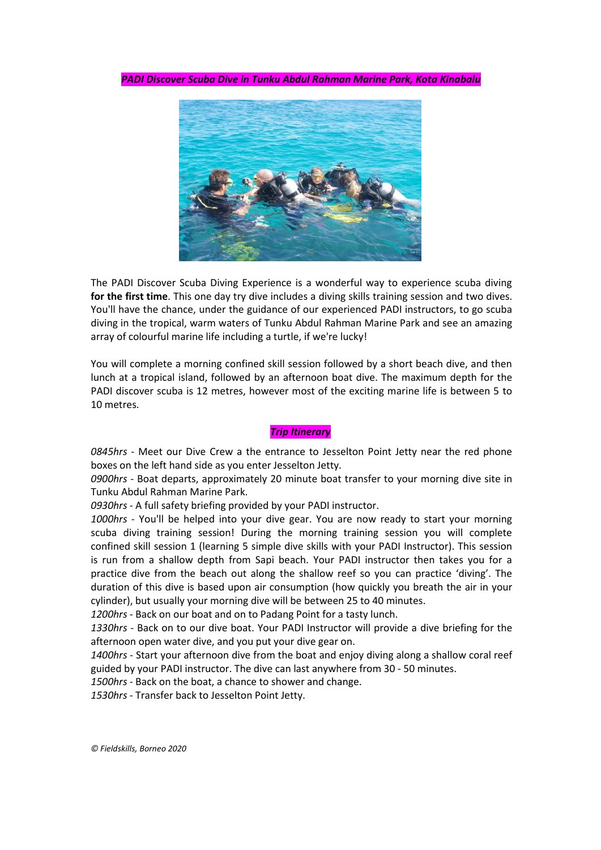*PADI Discover Scuba Dive in Tunku AbdulRahman Marine Park, Kota Kinabalu*



The PADI Discover Scuba Diving Experience is a wonderful way to experience scuba diving **for the first time**. This one day try dive includes a diving skills training session and two dives. You'll have the chance, under the guidance of our experienced PADI instructors, to go scuba diving in the tropical,warm waters of Tunku Abdul Rahman Marine Park and see an amazing array of colourful marine life including a turtle, if we're lucky!

You will complete a morning confined skill session followed by a short beach dive, and then lunch at a tropical island, followed by an afternoon boat dive. The maximum depth for the PADI discover scuba is 12 metres, however most of the exciting marine life is between 5 to 10 metres.

#### *Trip Itinerary*

*0845hrs* - Meet our Dive Crew a the entrance to Jesselton Point Jetty near the red phone boxes on the left hand side as you enter Jesselton Jetty.

*0900hrs* - Boat departs, approximately 20 minute boat transfer to your morning dive site in Tunku Abdul Rahman Marine Park.

*0930hrs* - A full safety briefing provided by your PADI instructor.

*1000hrs* - You'll be helped into your dive gear. You are now ready to start your morning scuba diving training session! During the morning training session you will complete confined skill session 1 (learning 5 simple dive skills with your PADI Instructor). This session is run from a shallow depth from Sapi beach. Your PADI instructor then takes you for a practice dive from the beach out along the shallow reef so you can practice 'diving'. The duration of this dive is based upon air consumption (how quickly you breath the air in your cylinder), but usually your morning dive will be between 25 to 40 minutes.

*1200hrs* - Back on our boatand on to Padang Point for a tasty lunch.

*1330hrs* - Back on to our dive boat. Your PADI Instructor will provide a dive briefing for the afternoon open water dive, and you put your dive gear on.

*1400hrs* - Start your afternoon dive from the boat and enjoy diving along a shallow coral reef guided by your PADI instructor. The dive can last anywhere from 30 - 50 minutes.

*1500hrs* - Back on the boat, a chance to shower and change.

*1530hrs* - Transfer back to Jesselton Point Jetty.